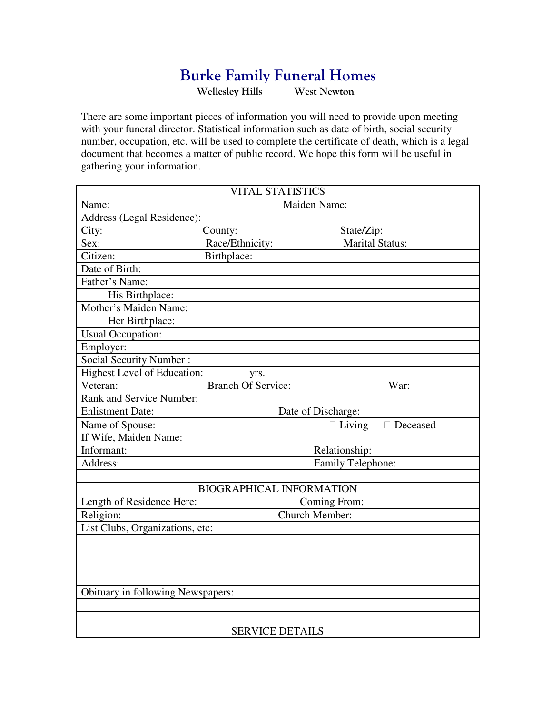## **Burke Family Funeral Homes**<br>Wellesley Hills West Newton

Wellesley Hills

There are some important pieces of information you will need to provide upon meeting with your funeral director. Statistical information such as date of birth, social security number, occupation, etc. will be used to complete the certificate of death, which is a legal document that becomes a matter of public record. We hope this form will be useful in gathering your information.

| <b>VITAL STATISTICS</b>            |                                 |                    |                        |  |  |  |
|------------------------------------|---------------------------------|--------------------|------------------------|--|--|--|
| Name:                              | Maiden Name:                    |                    |                        |  |  |  |
| Address (Legal Residence):         |                                 |                    |                        |  |  |  |
| City:                              | County:                         | State/Zip:         |                        |  |  |  |
| Sex:                               | Race/Ethnicity:                 |                    | <b>Marital Status:</b> |  |  |  |
| Citizen:                           | Birthplace:                     |                    |                        |  |  |  |
| Date of Birth:                     |                                 |                    |                        |  |  |  |
| Father's Name:                     |                                 |                    |                        |  |  |  |
| His Birthplace:                    |                                 |                    |                        |  |  |  |
| Mother's Maiden Name:              |                                 |                    |                        |  |  |  |
| Her Birthplace:                    |                                 |                    |                        |  |  |  |
| <b>Usual Occupation:</b>           |                                 |                    |                        |  |  |  |
| Employer:                          |                                 |                    |                        |  |  |  |
| <b>Social Security Number:</b>     |                                 |                    |                        |  |  |  |
| <b>Highest Level of Education:</b> | yrs.                            |                    |                        |  |  |  |
| Veteran:                           | <b>Branch Of Service:</b>       |                    | War:                   |  |  |  |
| Rank and Service Number:           |                                 |                    |                        |  |  |  |
| <b>Enlistment Date:</b>            |                                 | Date of Discharge: |                        |  |  |  |
| Name of Spouse:                    |                                 | $\Box$ Living      | $\Box$ Deceased        |  |  |  |
| If Wife, Maiden Name:              |                                 |                    |                        |  |  |  |
| Informant:                         |                                 | Relationship:      |                        |  |  |  |
| Address:                           |                                 | Family Telephone:  |                        |  |  |  |
|                                    |                                 |                    |                        |  |  |  |
|                                    | <b>BIOGRAPHICAL INFORMATION</b> |                    |                        |  |  |  |
| Length of Residence Here:          |                                 | Coming From:       |                        |  |  |  |
| Religion:                          | Church Member:                  |                    |                        |  |  |  |
| List Clubs, Organizations, etc:    |                                 |                    |                        |  |  |  |
|                                    |                                 |                    |                        |  |  |  |
|                                    |                                 |                    |                        |  |  |  |
|                                    |                                 |                    |                        |  |  |  |
|                                    |                                 |                    |                        |  |  |  |
| Obituary in following Newspapers:  |                                 |                    |                        |  |  |  |
|                                    |                                 |                    |                        |  |  |  |
|                                    |                                 |                    |                        |  |  |  |
| <b>SERVICE DETAILS</b>             |                                 |                    |                        |  |  |  |